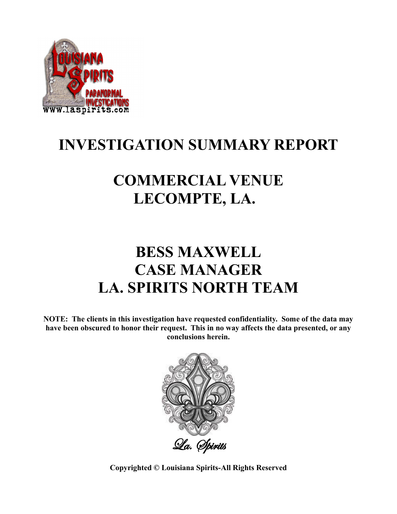

# **INVESTIGATION SUMMARY REPORT**

# **COMMERCIAL VENUE LECOMPTE, LA.**

### **BESS MAXWELL CASE MANAGER LA. SPIRITS NORTH TEAM**

**NOTE: The clients in this investigation have requested confidentiality. Some of the data may have been obscured to honor their request. This in no way affects the data presented, or any conclusions herein.**



**Copyrighted © Louisiana Spirits-All Rights Reserved**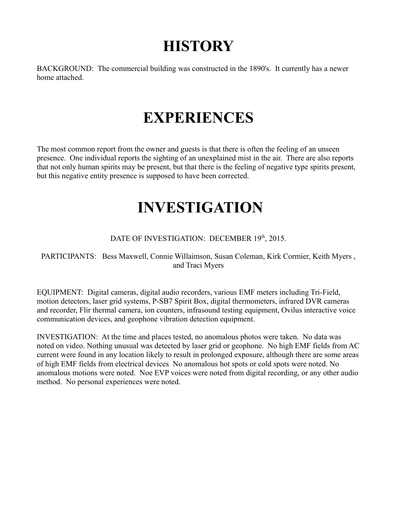#### **HISTORY**

BACKGROUND: The commercial building was constructed in the 1890's. It currently has a newer home attached.

### **EXPERIENCES**

The most common report from the owner and guests is that there is often the feeling of an unseen presence. One individual reports the sighting of an unexplained mist in the air. There are also reports that not only human spirits may be present, but that there is the feeling of negative type spirits present, but this negative entity presence is supposed to have been corrected.

### **INVESTIGATION**

#### DATE OF INVESTIGATION: DECEMBER 19th, 2015.

PARTICIPANTS: Bess Maxwell, Connie Willaimson, Susan Coleman, Kirk Cormier, Keith Myers , and Traci Myers

EQUIPMENT: Digital cameras, digital audio recorders, various EMF meters including Tri-Field, motion detectors, laser grid systems, P-SB7 Spirit Box, digital thermometers, infrared DVR cameras and recorder, Flir thermal camera, ion counters, infrasound testing equipment, Ovilus interactive voice communication devices, and geophone vibration detection equipment.

INVESTIGATION: At the time and places tested, no anomalous photos were taken. No data was noted on video. Nothing unusual was detected by laser grid or geophone. No high EMF fields from AC current were found in any location likely to result in prolonged exposure, although there are some areas of high EMF fields from electrical devices No anomalous hot spots or cold spots were noted. No anomalous motions were noted. Noe EVP voices were noted from digital recording, or any other audio method. No personal experiences were noted.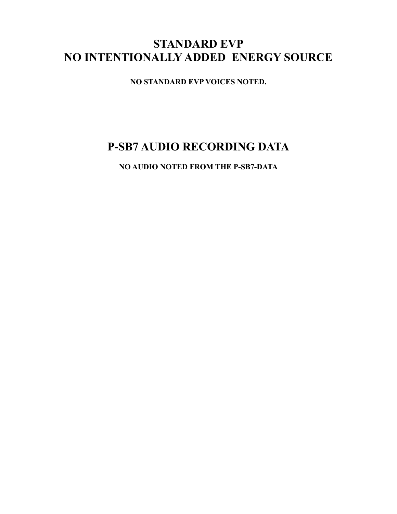#### **STANDARD EVP NO INTENTIONALLY ADDED ENERGY SOURCE**

**NO STANDARD EVP VOICES NOTED.**

#### **P-SB7 AUDIO RECORDING DATA**

**NO AUDIO NOTED FROM THE P-SB7-DATA**